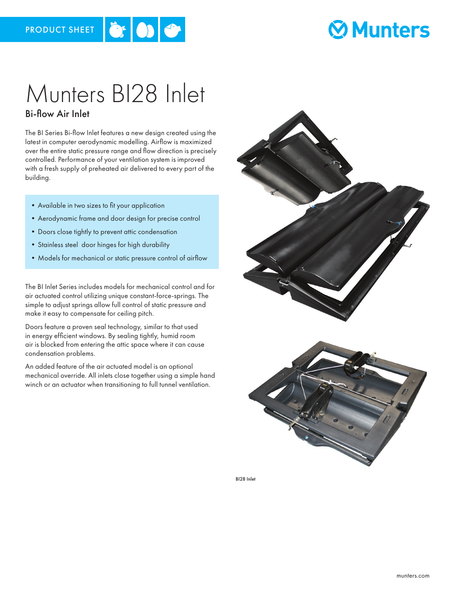

# **Ø Munters**

# Munters BI28 Inlet

#### Bi-flow Air Inlet

The BI Series Bi-flow Inlet features a new design created using the latest in computer aerodynamic modelling. Airflow is maximized over the entire static pressure range and flow direction is precisely controlled. Performance of your ventilation system is improved with a fresh supply of preheated air delivered to every part of the building.

- •Available in two sizes to fit your application
- •Aerodynamic frame and door design for precise control
- •Doors close tightly to prevent attic condensation
- •Stainless steel door hinges for high durability
- •Models for mechanical or static pressure control of airflow

The BI Inlet Series includes models for mechanical control and for air actuated control utilizing unique constant-force-springs. The simple to adjust springs allow full control of static pressure and make it easy to compensate for ceiling pitch.

Doors feature a proven seal technology, similar to that used in energy efficient windows. By sealing tightly, humid room air is blocked from entering the attic space where it can cause condensation problems.

An added feature of the air actuated model is an optional mechanical override. All inlets close together using a simple hand winch or an actuator when transitioning to full tunnel ventilation.



BI28 Inlet